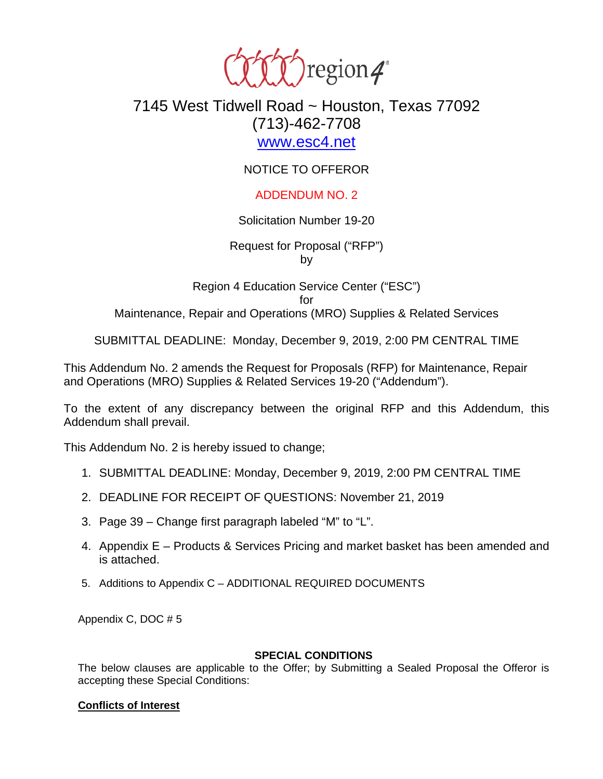

# 7145 West Tidwell Road ~ Houston, Texas 77092 (713)-462-7708 [www.esc4.net](http://www.esc4.net/)

# NOTICE TO OFFEROR

# ADDENDUM NO. 2

# Solicitation Number 19-20

Request for Proposal ("RFP") by

Region 4 Education Service Center ("ESC") for

Maintenance, Repair and Operations (MRO) Supplies & Related Services

SUBMITTAL DEADLINE: Monday, December 9, 2019, 2:00 PM CENTRAL TIME

This Addendum No. 2 amends the Request for Proposals (RFP) for Maintenance, Repair and Operations (MRO) Supplies & Related Services 19-20 ("Addendum").

To the extent of any discrepancy between the original RFP and this Addendum, this Addendum shall prevail.

This Addendum No. 2 is hereby issued to change;

- 1. SUBMITTAL DEADLINE: Monday, December 9, 2019, 2:00 PM CENTRAL TIME
- 2. DEADLINE FOR RECEIPT OF QUESTIONS: November 21, 2019
- 3. Page 39 Change first paragraph labeled "M" to "L".
- 4. Appendix E Products & Services Pricing and market basket has been amended and is attached.
- 5. Additions to Appendix C ADDITIONAL REQUIRED DOCUMENTS

Appendix C, DOC # 5

#### **SPECIAL CONDITIONS**

The below clauses are applicable to the Offer; by Submitting a Sealed Proposal the Offeror is accepting these Special Conditions:

#### **Conflicts of Interest**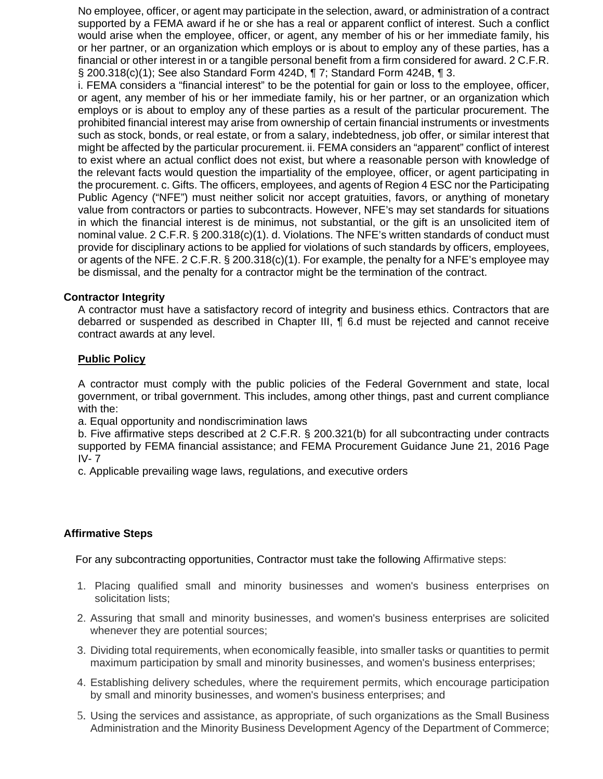No employee, officer, or agent may participate in the selection, award, or administration of a contract supported by a FEMA award if he or she has a real or apparent conflict of interest. Such a conflict would arise when the employee, officer, or agent, any member of his or her immediate family, his or her partner, or an organization which employs or is about to employ any of these parties, has a financial or other interest in or a tangible personal benefit from a firm considered for award. 2 C.F.R. § 200.318(c)(1); See also Standard Form 424D, ¶ 7; Standard Form 424B, ¶ 3.

i. FEMA considers a "financial interest" to be the potential for gain or loss to the employee, officer, or agent, any member of his or her immediate family, his or her partner, or an organization which employs or is about to employ any of these parties as a result of the particular procurement. The prohibited financial interest may arise from ownership of certain financial instruments or investments such as stock, bonds, or real estate, or from a salary, indebtedness, job offer, or similar interest that might be affected by the particular procurement. ii. FEMA considers an "apparent" conflict of interest to exist where an actual conflict does not exist, but where a reasonable person with knowledge of the relevant facts would question the impartiality of the employee, officer, or agent participating in the procurement. c. Gifts. The officers, employees, and agents of Region 4 ESC nor the Participating Public Agency ("NFE") must neither solicit nor accept gratuities, favors, or anything of monetary value from contractors or parties to subcontracts. However, NFE's may set standards for situations in which the financial interest is de minimus, not substantial, or the gift is an unsolicited item of nominal value. 2 C.F.R. § 200.318(c)(1). d. Violations. The NFE's written standards of conduct must provide for disciplinary actions to be applied for violations of such standards by officers, employees, or agents of the NFE. 2 C.F.R. § 200.318(c)(1). For example, the penalty for a NFE's employee may be dismissal, and the penalty for a contractor might be the termination of the contract.

#### **Contractor Integrity**

A contractor must have a satisfactory record of integrity and business ethics. Contractors that are debarred or suspended as described in Chapter III, ¶ 6.d must be rejected and cannot receive contract awards at any level.

#### **Public Policy**

A contractor must comply with the public policies of the Federal Government and state, local government, or tribal government. This includes, among other things, past and current compliance with the:

a. Equal opportunity and nondiscrimination laws

b. Five affirmative steps described at 2 C.F.R. § 200.321(b) for all subcontracting under contracts supported by FEMA financial assistance; and FEMA Procurement Guidance June 21, 2016 Page IV- 7

c. Applicable prevailing wage laws, regulations, and executive orders

## **Affirmative Steps**

For any subcontracting opportunities, Contractor must take the following Affirmative steps:

- 1. Placing qualified small and minority businesses and women's business enterprises on solicitation lists;
- 2. Assuring that small and minority businesses, and women's business enterprises are solicited whenever they are potential sources;
- 3. Dividing total requirements, when economically feasible, into smaller tasks or quantities to permit maximum participation by small and minority businesses, and women's business enterprises;
- 4. Establishing delivery schedules, where the requirement permits, which encourage participation by small and minority businesses, and women's business enterprises; and
- 5. Using the services and assistance, as appropriate, of such organizations as the Small Business Administration and the Minority Business Development Agency of the Department of Commerce;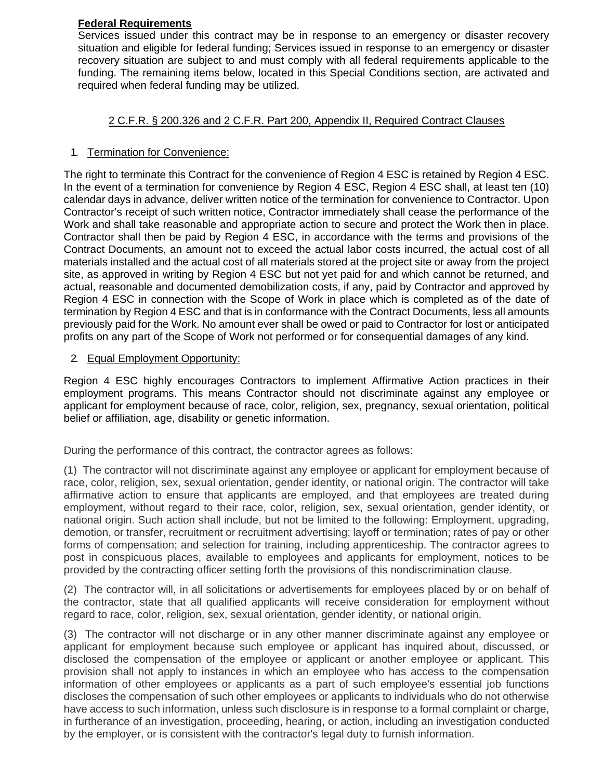## **Federal Requirements**

Services issued under this contract may be in response to an emergency or disaster recovery situation and eligible for federal funding; Services issued in response to an emergency or disaster recovery situation are subject to and must comply with all federal requirements applicable to the funding. The remaining items below, located in this Special Conditions section, are activated and required when federal funding may be utilized.

# 2 C.F.R. § 200.326 and 2 C.F.R. Part 200, Appendix II, Required Contract Clauses

## 1. Termination for Convenience:

The right to terminate this Contract for the convenience of Region 4 ESC is retained by Region 4 ESC. In the event of a termination for convenience by Region 4 ESC, Region 4 ESC shall, at least ten (10) calendar days in advance, deliver written notice of the termination for convenience to Contractor. Upon Contractor's receipt of such written notice, Contractor immediately shall cease the performance of the Work and shall take reasonable and appropriate action to secure and protect the Work then in place. Contractor shall then be paid by Region 4 ESC, in accordance with the terms and provisions of the Contract Documents, an amount not to exceed the actual labor costs incurred, the actual cost of all materials installed and the actual cost of all materials stored at the project site or away from the project site, as approved in writing by Region 4 ESC but not yet paid for and which cannot be returned, and actual, reasonable and documented demobilization costs, if any, paid by Contractor and approved by Region 4 ESC in connection with the Scope of Work in place which is completed as of the date of termination by Region 4 ESC and that is in conformance with the Contract Documents, less all amounts previously paid for the Work. No amount ever shall be owed or paid to Contractor for lost or anticipated profits on any part of the Scope of Work not performed or for consequential damages of any kind.

## 2. Equal Employment Opportunity:

Region 4 ESC highly encourages Contractors to implement Affirmative Action practices in their employment programs. This means Contractor should not discriminate against any employee or applicant for employment because of race, color, religion, sex, pregnancy, sexual orientation, political belief or affiliation, age, disability or genetic information.

During the performance of this contract, the contractor agrees as follows:

(1) The contractor will not discriminate against any employee or applicant for employment because of race, color, religion, sex, sexual orientation, gender identity, or national origin. The contractor will take affirmative action to ensure that applicants are employed, and that employees are treated during employment, without regard to their race, color, religion, sex, sexual orientation, gender identity, or national origin. Such action shall include, but not be limited to the following: Employment, upgrading, demotion, or transfer, recruitment or recruitment advertising; layoff or termination; rates of pay or other forms of compensation; and selection for training, including apprenticeship. The contractor agrees to post in conspicuous places, available to employees and applicants for employment, notices to be provided by the contracting officer setting forth the provisions of this nondiscrimination clause.

(2) The contractor will, in all solicitations or advertisements for employees placed by or on behalf of the contractor, state that all qualified applicants will receive consideration for employment without regard to race, color, religion, sex, sexual orientation, gender identity, or national origin.

(3) The contractor will not discharge or in any other manner discriminate against any employee or applicant for employment because such employee or applicant has inquired about, discussed, or disclosed the compensation of the employee or applicant or another employee or applicant. This provision shall not apply to instances in which an employee who has access to the compensation information of other employees or applicants as a part of such employee's essential job functions discloses the compensation of such other employees or applicants to individuals who do not otherwise have access to such information, unless such disclosure is in response to a formal complaint or charge, in furtherance of an investigation, proceeding, hearing, or action, including an investigation conducted by the employer, or is consistent with the contractor's legal duty to furnish information.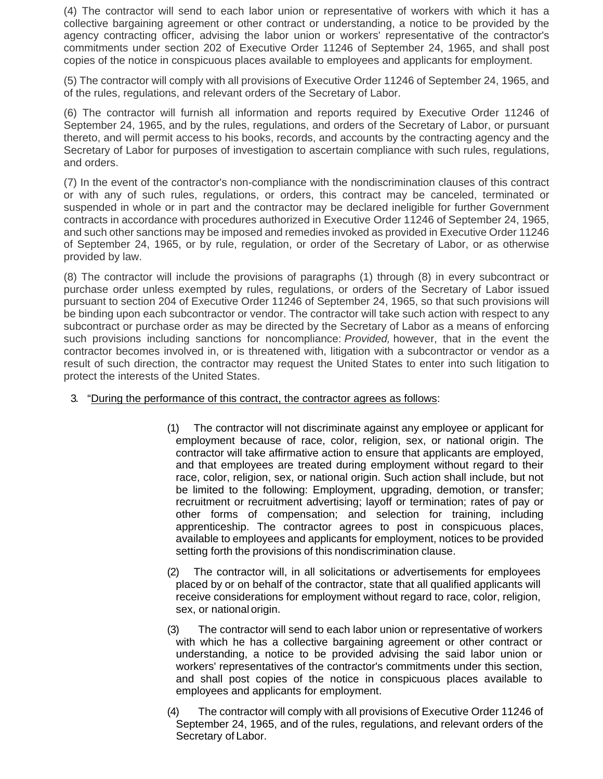(4) The contractor will send to each labor union or representative of workers with which it has a collective bargaining agreement or other contract or understanding, a notice to be provided by the agency contracting officer, advising the labor union or workers' representative of the contractor's commitments under section 202 of Executive Order 11246 of September 24, 1965, and shall post copies of the notice in conspicuous places available to employees and applicants for employment.

(5) The contractor will comply with all provisions of Executive Order 11246 of September 24, 1965, and of the rules, regulations, and relevant orders of the Secretary of Labor.

(6) The contractor will furnish all information and reports required by Executive Order 11246 of September 24, 1965, and by the rules, regulations, and orders of the Secretary of Labor, or pursuant thereto, and will permit access to his books, records, and accounts by the contracting agency and the Secretary of Labor for purposes of investigation to ascertain compliance with such rules, regulations, and orders.

(7) In the event of the contractor's non-compliance with the nondiscrimination clauses of this contract or with any of such rules, regulations, or orders, this contract may be canceled, terminated or suspended in whole or in part and the contractor may be declared ineligible for further Government contracts in accordance with procedures authorized in Executive Order 11246 of September 24, 1965, and such other sanctions may be imposed and remedies invoked as provided in Executive Order 11246 of September 24, 1965, or by rule, regulation, or order of the Secretary of Labor, or as otherwise provided by law.

(8) The contractor will include the provisions of paragraphs (1) through (8) in every subcontract or purchase order unless exempted by rules, regulations, or orders of the Secretary of Labor issued pursuant to section 204 of Executive Order 11246 of September 24, 1965, so that such provisions will be binding upon each subcontractor or vendor. The contractor will take such action with respect to any subcontract or purchase order as may be directed by the Secretary of Labor as a means of enforcing such provisions including sanctions for noncompliance: *Provided,* however, that in the event the contractor becomes involved in, or is threatened with, litigation with a subcontractor or vendor as a result of such direction, the contractor may request the United States to enter into such litigation to protect the interests of the United States.

#### 3. "During the performance of this contract, the contractor agrees as follows:

- (1) The contractor will not discriminate against any employee or applicant for employment because of race, color, religion, sex, or national origin. The contractor will take affirmative action to ensure that applicants are employed, and that employees are treated during employment without regard to their race, color, religion, sex, or national origin. Such action shall include, but not be limited to the following: Employment, upgrading, demotion, or transfer; recruitment or recruitment advertising; layoff or termination; rates of pay or other forms of compensation; and selection for training, including apprenticeship. The contractor agrees to post in conspicuous places, available to employees and applicants for employment, notices to be provided setting forth the provisions of this nondiscrimination clause.
- (2) The contractor will, in all solicitations or advertisements for employees placed by or on behalf of the contractor, state that all qualified applicants will receive considerations for employment without regard to race, color, religion, sex, or national origin.
- (3) The contractor will send to each labor union or representative of workers with which he has a collective bargaining agreement or other contract or understanding, a notice to be provided advising the said labor union or workers' representatives of the contractor's commitments under this section, and shall post copies of the notice in conspicuous places available to employees and applicants for employment.
- (4) The contractor will comply with all provisions of Executive Order 11246 of September 24, 1965, and of the rules, regulations, and relevant orders of the Secretary of Labor.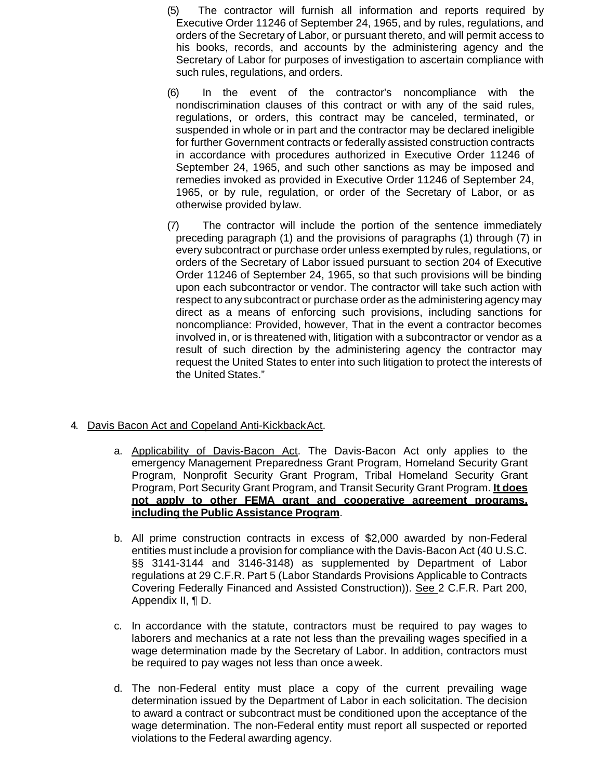- (5) The contractor will furnish all information and reports required by Executive Order 11246 of September 24, 1965, and by rules, regulations, and orders of the Secretary of Labor, or pursuant thereto, and will permit access to his books, records, and accounts by the administering agency and the Secretary of Labor for purposes of investigation to ascertain compliance with such rules, regulations, and orders.
- (6) In the event of the contractor's noncompliance with the nondiscrimination clauses of this contract or with any of the said rules, regulations, or orders, this contract may be canceled, terminated, or suspended in whole or in part and the contractor may be declared ineligible for further Government contracts or federally assisted construction contracts in accordance with procedures authorized in Executive Order 11246 of September 24, 1965, and such other sanctions as may be imposed and remedies invoked as provided in Executive Order 11246 of September 24, 1965, or by rule, regulation, or order of the Secretary of Labor, or as otherwise provided bylaw.
- (7) The contractor will include the portion of the sentence immediately preceding paragraph (1) and the provisions of paragraphs (1) through (7) in every subcontract or purchase order unless exempted by rules, regulations, or orders of the Secretary of Labor issued pursuant to section 204 of Executive Order 11246 of September 24, 1965, so that such provisions will be binding upon each subcontractor or vendor. The contractor will take such action with respect to any subcontract or purchase order as the administering agency may direct as a means of enforcing such provisions, including sanctions for noncompliance: Provided, however, That in the event a contractor becomes involved in, or is threatened with, litigation with a subcontractor or vendor as a result of such direction by the administering agency the contractor may request the United States to enter into such litigation to protect the interests of the United States."

## 4. Davis Bacon Act and Copeland Anti-Kickback Act.

- a. Applicability of Davis-Bacon Act. The Davis-Bacon Act only applies to the emergency Management Preparedness Grant Program, Homeland Security Grant Program, Nonprofit Security Grant Program, Tribal Homeland Security Grant Program, Port Security Grant Program, and Transit Security Grant Program. **It does not apply to other FEMA grant and cooperative agreement programs, including the Public Assistance Program**.
- b. All prime construction contracts in excess of \$2,000 awarded by non-Federal entities must include a provision for compliance with the Davis-Bacon Act (40 U.S.C. §§ 3141-3144 and 3146-3148) as supplemented by Department of Labor regulations at 29 C.F.R. Part 5 (Labor Standards Provisions Applicable to Contracts Covering Federally Financed and Assisted Construction)). See 2 C.F.R. Part 200, Appendix II, ¶ D.
- c. In accordance with the statute, contractors must be required to pay wages to laborers and mechanics at a rate not less than the prevailing wages specified in a wage determination made by the Secretary of Labor. In addition, contractors must be required to pay wages not less than once aweek.
- d. The non-Federal entity must place a copy of the current prevailing wage determination issued by the Department of Labor in each solicitation. The decision to award a contract or subcontract must be conditioned upon the acceptance of the wage determination. The non-Federal entity must report all suspected or reported violations to the Federal awarding agency.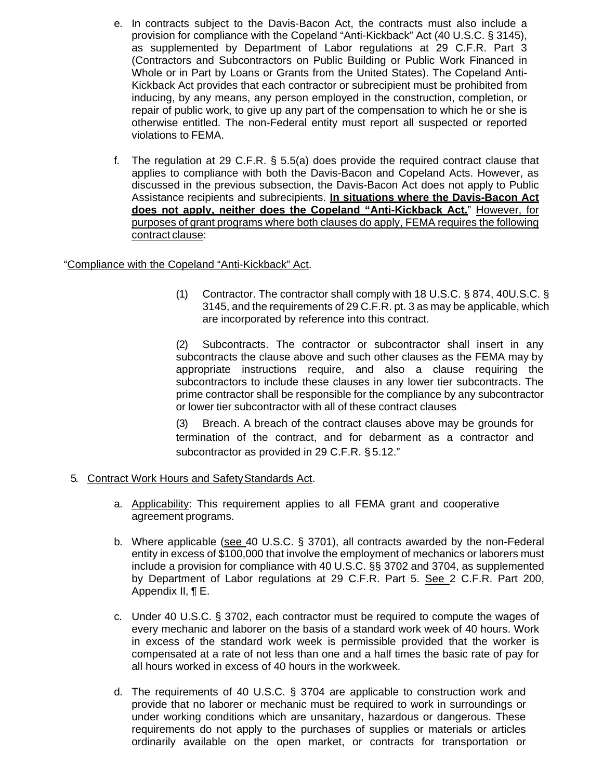- e. In contracts subject to the Davis-Bacon Act, the contracts must also include a provision for compliance with the Copeland "Anti-Kickback" Act (40 U.S.C. § 3145), as supplemented by Department of Labor regulations at 29 C.F.R. Part 3 (Contractors and Subcontractors on Public Building or Public Work Financed in Whole or in Part by Loans or Grants from the United States). The Copeland Anti-Kickback Act provides that each contractor or subrecipient must be prohibited from inducing, by any means, any person employed in the construction, completion, or repair of public work, to give up any part of the compensation to which he or she is otherwise entitled. The non-Federal entity must report all suspected or reported violations to FEMA.
- f. The regulation at 29 C.F.R. § 5.5(a) does provide the required contract clause that applies to compliance with both the Davis-Bacon and Copeland Acts. However, as discussed in the previous subsection, the Davis-Bacon Act does not apply to Public Assistance recipients and subrecipients. **In situations where the Davis-Bacon Act does not apply, neither does the Copeland "Anti-Kickback Act.**" However, for purposes of grant programs where both clauses do apply, FEMA requires the following contract clause:

## "Compliance with the Copeland "Anti-Kickback" Act.

(1) Contractor. The contractor shall comply with 18 U.S.C. § 874, 40U.S.C. § 3145, and the requirements of 29 C.F.R. pt. 3 as may be applicable, which are incorporated by reference into this contract.

(2) Subcontracts. The contractor or subcontractor shall insert in any subcontracts the clause above and such other clauses as the FEMA may by appropriate instructions require, and also a clause requiring the subcontractors to include these clauses in any lower tier subcontracts. The prime contractor shall be responsible for the compliance by any subcontractor or lower tier subcontractor with all of these contract clauses

(3) Breach. A breach of the contract clauses above may be grounds for termination of the contract, and for debarment as a contractor and subcontractor as provided in 29 C.F.R. § 5.12."

## 5. Contract Work Hours and SafetyStandards Act.

- a. Applicability: This requirement applies to all FEMA grant and cooperative agreement programs.
- b. Where applicable (see 40 U.S.C. § 3701), all contracts awarded by the non-Federal entity in excess of \$100,000 that involve the employment of mechanics or laborers must include a provision for compliance with 40 U.S.C. §§ 3702 and 3704, as supplemented by Department of Labor regulations at 29 C.F.R. Part 5. See 2 C.F.R. Part 200, Appendix II, ¶ E.
- c. Under 40 U.S.C. § 3702, each contractor must be required to compute the wages of every mechanic and laborer on the basis of a standard work week of 40 hours. Work in excess of the standard work week is permissible provided that the worker is compensated at a rate of not less than one and a half times the basic rate of pay for all hours worked in excess of 40 hours in the workweek.
- d. The requirements of 40 U.S.C. § 3704 are applicable to construction work and provide that no laborer or mechanic must be required to work in surroundings or under working conditions which are unsanitary, hazardous or dangerous. These requirements do not apply to the purchases of supplies or materials or articles ordinarily available on the open market, or contracts for transportation or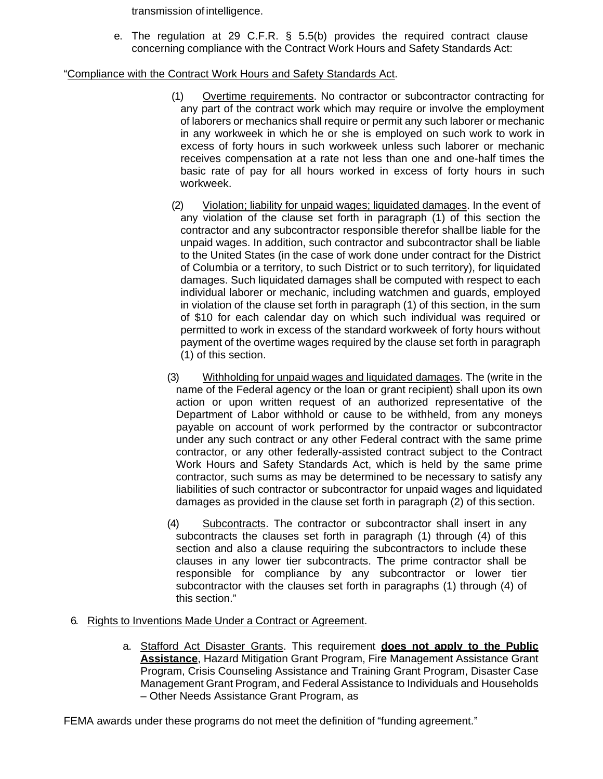transmission of intelligence.

e. The regulation at 29 C.F.R. § 5.5(b) provides the required contract clause concerning compliance with the Contract Work Hours and Safety Standards Act:

#### "Compliance with the Contract Work Hours and Safety Standards Act.

- (1) Overtime requirements. No contractor or subcontractor contracting for any part of the contract work which may require or involve the employment of laborers or mechanics shall require or permit any such laborer or mechanic in any workweek in which he or she is employed on such work to work in excess of forty hours in such workweek unless such laborer or mechanic receives compensation at a rate not less than one and one-half times the basic rate of pay for all hours worked in excess of forty hours in such workweek.
- (2) Violation; liability for unpaid wages; liquidated damages. In the event of any violation of the clause set forth in paragraph (1) of this section the contractor and any subcontractor responsible therefor shallbe liable for the unpaid wages. In addition, such contractor and subcontractor shall be liable to the United States (in the case of work done under contract for the District of Columbia or a territory, to such District or to such territory), for liquidated damages. Such liquidated damages shall be computed with respect to each individual laborer or mechanic, including watchmen and guards, employed in violation of the clause set forth in paragraph (1) of this section, in the sum of \$10 for each calendar day on which such individual was required or permitted to work in excess of the standard workweek of forty hours without payment of the overtime wages required by the clause set forth in paragraph (1) of this section.
- (3) Withholding for unpaid wages and liquidated damages. The (write in the name of the Federal agency or the loan or grant recipient) shall upon its own action or upon written request of an authorized representative of the Department of Labor withhold or cause to be withheld, from any moneys payable on account of work performed by the contractor or subcontractor under any such contract or any other Federal contract with the same prime contractor, or any other federally-assisted contract subject to the Contract Work Hours and Safety Standards Act, which is held by the same prime contractor, such sums as may be determined to be necessary to satisfy any liabilities of such contractor or subcontractor for unpaid wages and liquidated damages as provided in the clause set forth in paragraph (2) of this section.
- (4) Subcontracts. The contractor or subcontractor shall insert in any subcontracts the clauses set forth in paragraph (1) through (4) of this section and also a clause requiring the subcontractors to include these clauses in any lower tier subcontracts. The prime contractor shall be responsible for compliance by any subcontractor or lower tier subcontractor with the clauses set forth in paragraphs (1) through (4) of this section."

## 6. Rights to Inventions Made Under a Contract or Agreement.

a. Stafford Act Disaster Grants. This requirement **does not apply to the Public Assistance**, Hazard Mitigation Grant Program, Fire Management Assistance Grant Program, Crisis Counseling Assistance and Training Grant Program, Disaster Case Management Grant Program, and Federal Assistance to Individuals and Households – Other Needs Assistance Grant Program, as

FEMA awards under these programs do not meet the definition of "funding agreement."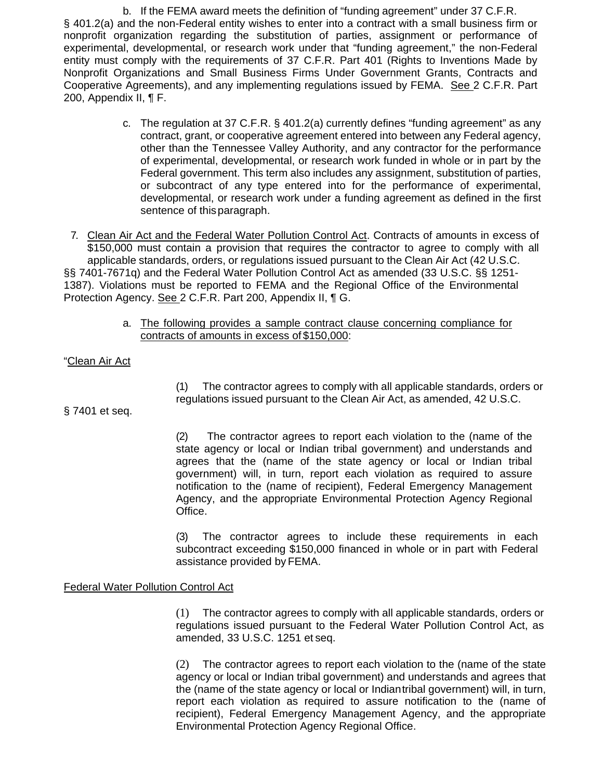b. If the FEMA award meets the definition of "funding agreement" under 37 C.F.R. § 401.2(a) and the non-Federal entity wishes to enter into a contract with a small business firm or nonprofit organization regarding the substitution of parties, assignment or performance of experimental, developmental, or research work under that "funding agreement," the non-Federal entity must comply with the requirements of 37 C.F.R. Part 401 (Rights to Inventions Made by Nonprofit Organizations and Small Business Firms Under Government Grants, Contracts and Cooperative Agreements), and any implementing regulations issued by FEMA. See 2 C.F.R. Part 200, Appendix II, ¶ F.

- c. The regulation at 37 C.F.R. § 401.2(a) currently defines "funding agreement" as any contract, grant, or cooperative agreement entered into between any Federal agency, other than the Tennessee Valley Authority, and any contractor for the performance of experimental, developmental, or research work funded in whole or in part by the Federal government. This term also includes any assignment, substitution of parties, or subcontract of any type entered into for the performance of experimental, developmental, or research work under a funding agreement as defined in the first sentence of thisparagraph.
- 7. Clean Air Act and the Federal Water Pollution Control Act. Contracts of amounts in excess of \$150,000 must contain a provision that requires the contractor to agree to comply with all applicable standards, orders, or regulations issued pursuant to the Clean Air Act (42 U.S.C. §§ 7401-7671q) and the Federal Water Pollution Control Act as amended (33 U.S.C. §§ 1251- 1387). Violations must be reported to FEMA and the Regional Office of the Environmental Protection Agency. See 2 C.F.R. Part 200, Appendix II, ¶ G.
	- a. The following provides a sample contract clause concerning compliance for contracts of amounts in excess of \$150,000:

"Clean Air Act

(1) The contractor agrees to comply with all applicable standards, orders or regulations issued pursuant to the Clean Air Act, as amended, 42 U.S.C.

§ 7401 et seq.

(2) The contractor agrees to report each violation to the (name of the state agency or local or Indian tribal government) and understands and agrees that the (name of the state agency or local or Indian tribal government) will, in turn, report each violation as required to assure notification to the (name of recipient), Federal Emergency Management Agency, and the appropriate Environmental Protection Agency Regional Office.

(3) The contractor agrees to include these requirements in each subcontract exceeding \$150,000 financed in whole or in part with Federal assistance provided by FEMA.

## Federal Water Pollution Control Act

(1) The contractor agrees to comply with all applicable standards, orders or regulations issued pursuant to the Federal Water Pollution Control Act, as amended, 33 U.S.C. 1251 et seq.

(2) The contractor agrees to report each violation to the (name of the state agency or local or Indian tribal government) and understands and agrees that the (name of the state agency or local or Indiantribal government) will, in turn, report each violation as required to assure notification to the (name of recipient), Federal Emergency Management Agency, and the appropriate Environmental Protection Agency Regional Office.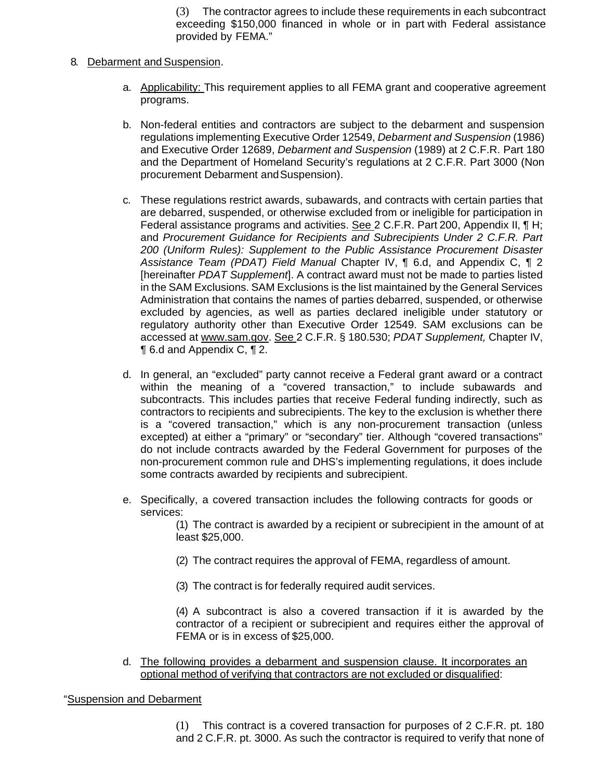(3) The contractor agrees to include these requirements in each subcontract exceeding \$150,000 financed in whole or in part with Federal assistance provided by FEMA."

#### 8. Debarment and Suspension.

- a. Applicability: This requirement applies to all FEMA grant and cooperative agreement programs.
- b. Non-federal entities and contractors are subject to the debarment and suspension regulations implementing Executive Order 12549, *Debarment and Suspension* (1986) and Executive Order 12689, *Debarment and Suspension* (1989) at 2 C.F.R. Part 180 and the Department of Homeland Security's regulations at 2 C.F.R. Part 3000 (Non procurement Debarment andSuspension).
- c. These regulations restrict awards, subawards, and contracts with certain parties that are debarred, suspended, or otherwise excluded from or ineligible for participation in Federal assistance programs and activities. See 2 C.F.R. Part 200, Appendix II, ¶ H; and *Procurement Guidance for Recipients and Subrecipients Under 2 C.F.R. Part 200 (Uniform Rules): Supplement to the Public Assistance Procurement Disaster Assistance Team (PDAT) Field Manual* Chapter IV, ¶ 6.d, and Appendix C, ¶ 2 [hereinafter *PDAT Supplement*]. A contract award must not be made to parties listed in the SAM Exclusions. SAM Exclusions is the list maintained by the General Services Administration that contains the names of parties debarred, suspended, or otherwise excluded by agencies, as well as parties declared ineligible under statutory or regulatory authority other than Executive Order 12549. SAM exclusions can be accessed at [www.sam.gov.](http://www.sam.gov/) See 2 C.F.R. § 180.530; *PDAT Supplement,* Chapter IV, ¶ 6.d and Appendix C, ¶ 2.
- d. In general, an "excluded" party cannot receive a Federal grant award or a contract within the meaning of a "covered transaction," to include subawards and subcontracts. This includes parties that receive Federal funding indirectly, such as contractors to recipients and subrecipients. The key to the exclusion is whether there is a "covered transaction," which is any non-procurement transaction (unless excepted) at either a "primary" or "secondary" tier. Although "covered transactions" do not include contracts awarded by the Federal Government for purposes of the non-procurement common rule and DHS's implementing regulations, it does include some contracts awarded by recipients and subrecipient.
- e. Specifically, a covered transaction includes the following contracts for goods or services:

(1) The contract is awarded by a recipient or subrecipient in the amount of at least \$25,000.

- (2) The contract requires the approval of FEMA, regardless of amount.
- (3) The contract is for federally required audit services.

(4) A subcontract is also a covered transaction if it is awarded by the contractor of a recipient or subrecipient and requires either the approval of FEMA or is in excess of \$25,000.

d. The following provides a debarment and suspension clause. It incorporates an optional method of verifying that contractors are not excluded or disqualified:

#### "Suspension and Debarment

(1) This contract is a covered transaction for purposes of 2 C.F.R. pt. 180 and 2 C.F.R. pt. 3000. As such the contractor is required to verify that none of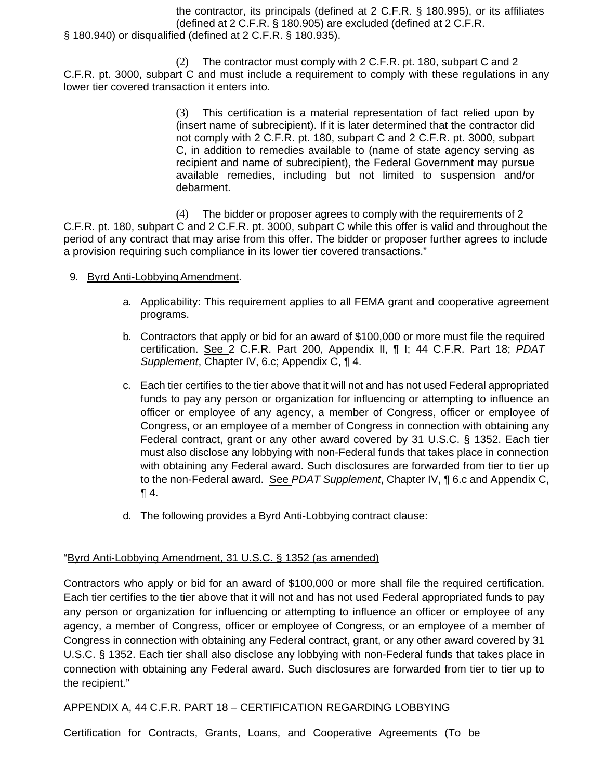the contractor, its principals (defined at 2 C.F.R. § 180.995), or its affiliates (defined at 2 C.F.R. § 180.905) are excluded (defined at 2 C.F.R. § 180.940) or disqualified (defined at 2 C.F.R. § 180.935).

(2) The contractor must comply with 2 C.F.R. pt. 180, subpart C and 2 C.F.R. pt. 3000, subpart C and must include a requirement to comply with these regulations in any lower tier covered transaction it enters into.

> (3) This certification is a material representation of fact relied upon by (insert name of subrecipient). If it is later determined that the contractor did not comply with 2 C.F.R. pt. 180, subpart C and 2 C.F.R. pt. 3000, subpart C, in addition to remedies available to (name of state agency serving as recipient and name of subrecipient), the Federal Government may pursue available remedies, including but not limited to suspension and/or debarment.

(4) The bidder or proposer agrees to comply with the requirements of 2 C.F.R. pt. 180, subpart C and 2 C.F.R. pt. 3000, subpart C while this offer is valid and throughout the period of any contract that may arise from this offer. The bidder or proposer further agrees to include a provision requiring such compliance in its lower tier covered transactions."

- 9. Byrd Anti-LobbyingAmendment.
	- a. Applicability: This requirement applies to all FEMA grant and cooperative agreement programs.
	- b. Contractors that apply or bid for an award of \$100,000 or more must file the required certification. See 2 C.F.R. Part 200, Appendix II, ¶ I; 44 C.F.R. Part 18; *PDAT Supplement*, Chapter IV, 6.c; Appendix C, ¶ 4.
	- c. Each tier certifies to the tier above that it will not and has not used Federal appropriated funds to pay any person or organization for influencing or attempting to influence an officer or employee of any agency, a member of Congress, officer or employee of Congress, or an employee of a member of Congress in connection with obtaining any Federal contract, grant or any other award covered by 31 U.S.C. § 1352. Each tier must also disclose any lobbying with non-Federal funds that takes place in connection with obtaining any Federal award. Such disclosures are forwarded from tier to tier up to the non-Federal award. See *PDAT Supplement*, Chapter IV, ¶ 6.c and Appendix C,  $\P$  4.
	- d. The following provides a Byrd Anti-Lobbying contract clause:

## "Byrd Anti-Lobbying Amendment, 31 U.S.C. § 1352 (as amended)

Contractors who apply or bid for an award of \$100,000 or more shall file the required certification. Each tier certifies to the tier above that it will not and has not used Federal appropriated funds to pay any person or organization for influencing or attempting to influence an officer or employee of any agency, a member of Congress, officer or employee of Congress, or an employee of a member of Congress in connection with obtaining any Federal contract, grant, or any other award covered by 31 U.S.C. § 1352. Each tier shall also disclose any lobbying with non-Federal funds that takes place in connection with obtaining any Federal award. Such disclosures are forwarded from tier to tier up to the recipient."

## APPENDIX A, 44 C.F.R. PART 18 – CERTIFICATION REGARDING LOBBYING

Certification for Contracts, Grants, Loans, and Cooperative Agreements (To be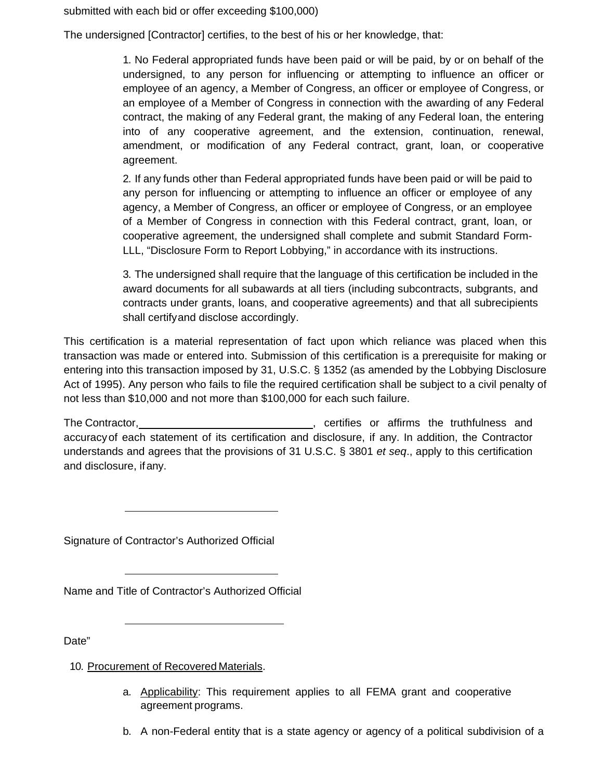submitted with each bid or offer exceeding \$100,000)

The undersigned [Contractor] certifies, to the best of his or her knowledge, that:

1. No Federal appropriated funds have been paid or will be paid, by or on behalf of the undersigned, to any person for influencing or attempting to influence an officer or employee of an agency, a Member of Congress, an officer or employee of Congress, or an employee of a Member of Congress in connection with the awarding of any Federal contract, the making of any Federal grant, the making of any Federal loan, the entering into of any cooperative agreement, and the extension, continuation, renewal, amendment, or modification of any Federal contract, grant, loan, or cooperative agreement.

2. If any funds other than Federal appropriated funds have been paid or will be paid to any person for influencing or attempting to influence an officer or employee of any agency, a Member of Congress, an officer or employee of Congress, or an employee of a Member of Congress in connection with this Federal contract, grant, loan, or cooperative agreement, the undersigned shall complete and submit Standard Form-LLL, "Disclosure Form to Report Lobbying," in accordance with its instructions.

3. The undersigned shall require that the language of this certification be included in the award documents for all subawards at all tiers (including subcontracts, subgrants, and contracts under grants, loans, and cooperative agreements) and that all subrecipients shall certifyand disclose accordingly.

This certification is a material representation of fact upon which reliance was placed when this transaction was made or entered into. Submission of this certification is a prerequisite for making or entering into this transaction imposed by 31, U.S.C. § 1352 (as amended by the Lobbying Disclosure Act of 1995). Any person who fails to file the required certification shall be subject to a civil penalty of not less than \$10,000 and not more than \$100,000 for each such failure.

The Contractor, <u>contractor</u>, and the Contractor of the Contractor, and the Contractor, and the Contractor, and the Contractor of the Contractor of the Contractor of the Contractor of the Contractor of the Contractor of th accuracyof each statement of its certification and disclosure, if any. In addition, the Contractor understands and agrees that the provisions of 31 U.S.C. § 3801 *et seq*., apply to this certification and disclosure, ifany.

Signature of Contractor's Authorized Official

Name and Title of Contractor's Authorized Official

Date"

10. Procurement of Recovered Materials.

- a. **Applicability:** This requirement applies to all FEMA grant and cooperative agreement programs.
- b. A non-Federal entity that is a state agency or agency of a political subdivision of a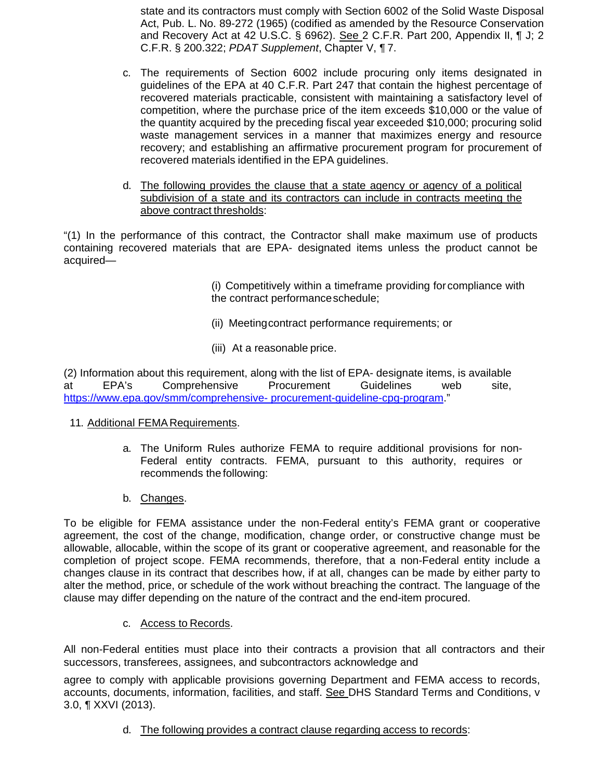state and its contractors must comply with Section 6002 of the Solid Waste Disposal Act, Pub. L. No. 89-272 (1965) (codified as amended by the Resource Conservation and Recovery Act at 42 U.S.C. § 6962). See 2 C.F.R. Part 200, Appendix II, ¶ J; 2 C.F.R. § 200.322; *PDAT Supplement*, Chapter V, ¶ 7.

- c. The requirements of Section 6002 include procuring only items designated in guidelines of the EPA at 40 C.F.R. Part 247 that contain the highest percentage of recovered materials practicable, consistent with maintaining a satisfactory level of competition, where the purchase price of the item exceeds \$10,000 or the value of the quantity acquired by the preceding fiscal year exceeded \$10,000; procuring solid waste management services in a manner that maximizes energy and resource recovery; and establishing an affirmative procurement program for procurement of recovered materials identified in the EPA guidelines.
- d. The following provides the clause that a state agency or agency of a political subdivision of a state and its contractors can include in contracts meeting the above contract thresholds:

"(1) In the performance of this contract, the Contractor shall make maximum use of products containing recovered materials that are EPA- designated items unless the product cannot be acquired—

> (i) Competitively within a timeframe providing for compliance with the contract performanceschedule;

- (ii) Meetingcontract performance requirements; or
- (iii) At a reasonable price.

(2) Information about this requirement, along with the list of EPA- designate items, is available at EPA's Comprehensive Procurement Guidelines web site, https:[//www.epa.gov/smm/comprehensive-](http://www.epa.gov/smm/comprehensive-) procurement-guideline-cpg-program."

- 11. Additional FEMA Requirements.
	- a. The Uniform Rules authorize FEMA to require additional provisions for non-Federal entity contracts. FEMA, pursuant to this authority, requires or recommends the following:
	- b. Changes.

To be eligible for FEMA assistance under the non-Federal entity's FEMA grant or cooperative agreement, the cost of the change, modification, change order, or constructive change must be allowable, allocable, within the scope of its grant or cooperative agreement, and reasonable for the completion of project scope. FEMA recommends, therefore, that a non-Federal entity include a changes clause in its contract that describes how, if at all, changes can be made by either party to alter the method, price, or schedule of the work without breaching the contract. The language of the clause may differ depending on the nature of the contract and the end-item procured.

c. Access to Records.

All non-Federal entities must place into their contracts a provision that all contractors and their successors, transferees, assignees, and subcontractors acknowledge and

agree to comply with applicable provisions governing Department and FEMA access to records, accounts, documents, information, facilities, and staff. See DHS Standard Terms and Conditions, v 3.0, ¶ XXVI (2013).

d. The following provides a contract clause regarding access to records: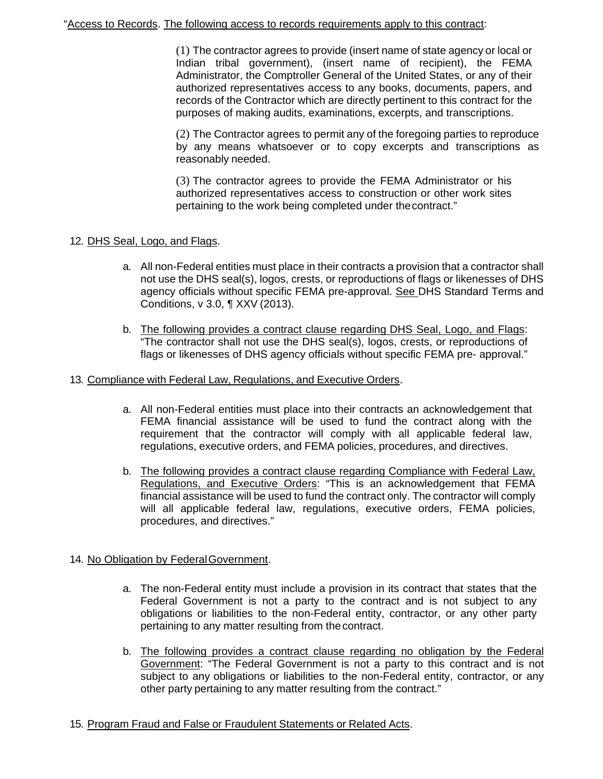#### "Access to Records. The following access to records requirements apply to this contract:

(1) The contractor agrees to provide (insert name of state agency or local or Indian tribal government), (insert name of recipient), the FEMA Administrator, the Comptroller General of the United States, or any of their authorized representatives access to any books, documents, papers, and records of the Contractor which are directly pertinent to this contract for the purposes of making audits, examinations, excerpts, and transcriptions.

(2) The Contractor agrees to permit any of the foregoing parties to reproduce by any means whatsoever or to copy excerpts and transcriptions as reasonably needed.

(3) The contractor agrees to provide the FEMA Administrator or his authorized representatives access to construction or other work sites pertaining to the work being completed under thecontract."

#### 12. DHS Seal, Logo, and Flags.

- a. All non-Federal entities must place in their contracts a provision that a contractor shall not use the DHS seal(s), logos, crests, or reproductions of flags or likenesses of DHS agency officials without specific FEMA pre-approval. See DHS Standard Terms and Conditions, v 3.0, ¶ XXV (2013).
- b. The following provides a contract clause regarding DHS Seal, Logo, and Flags: "The contractor shall not use the DHS seal(s), logos, crests, or reproductions of flags or likenesses of DHS agency officials without specific FEMA pre- approval."

#### 13. Compliance with Federal Law, Regulations, and Executive Orders.

- a. All non-Federal entities must place into their contracts an acknowledgement that FEMA financial assistance will be used to fund the contract along with the requirement that the contractor will comply with all applicable federal law, regulations, executive orders, and FEMA policies, procedures, and directives.
- b. The following provides a contract clause regarding Compliance with Federal Law, Regulations, and Executive Orders: "This is an acknowledgement that FEMA financial assistance will be used to fund the contract only. The contractor will comply will all applicable federal law, regulations, executive orders, FEMA policies, procedures, and directives."

## 14. No Obligation by FederalGovernment.

- a. The non-Federal entity must include a provision in its contract that states that the Federal Government is not a party to the contract and is not subject to any obligations or liabilities to the non-Federal entity, contractor, or any other party pertaining to any matter resulting from thecontract.
- b. The following provides a contract clause regarding no obligation by the Federal Government: "The Federal Government is not a party to this contract and is not subject to any obligations or liabilities to the non-Federal entity, contractor, or any other party pertaining to any matter resulting from the contract."

## 15. Program Fraud and False or Fraudulent Statements or Related Acts.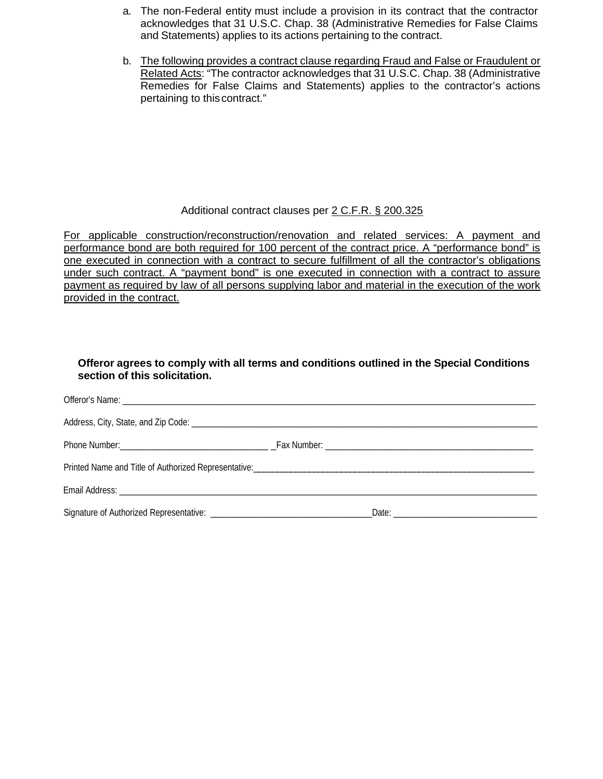- a. The non-Federal entity must include a provision in its contract that the contractor acknowledges that 31 U.S.C. Chap. 38 (Administrative Remedies for False Claims and Statements) applies to its actions pertaining to the contract.
- b. The following provides a contract clause regarding Fraud and False or Fraudulent or Related Acts: "The contractor acknowledges that 31 U.S.C. Chap. 38 (Administrative Remedies for False Claims and Statements) applies to the contractor's actions pertaining to thiscontract."

## Additional contract clauses per 2 C.F.R. § 200.325

For applicable construction/reconstruction/renovation and related services: A payment and performance bond are both required for 100 percent of the contract price. A "performance bond" is one executed in connection with a contract to secure fulfillment of all the contractor's obligations under such contract. A "payment bond" is one executed in connection with a contract to assure payment as required by law of all persons supplying labor and material in the execution of the work provided in the contract.

#### **Offeror agrees to comply with all terms and conditions outlined in the Special Conditions section of this solicitation.**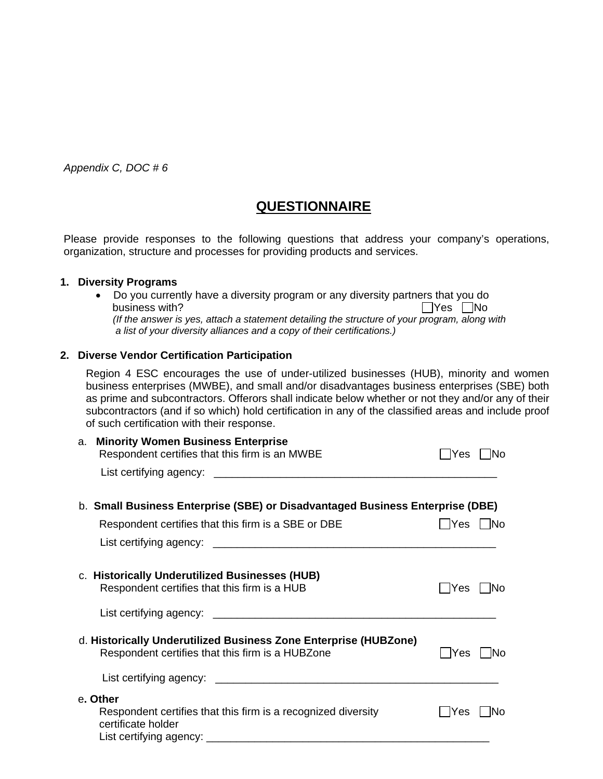*Appendix C, DOC # 6*

# **QUESTIONNAIRE**

Please provide responses to the following questions that address your company's operations, organization, structure and processes for providing products and services.

#### **1. Diversity Programs**

• Do you currently have a diversity program or any diversity partners that you do business with?  $\Box$  Yes  $\Box$  No  *(If the answer is yes, attach a statement detailing the structure of your program, along with a list of your diversity alliances and a copy of their certifications.)*

## **2. Diverse Vendor Certification Participation**

Region 4 ESC encourages the use of under-utilized businesses (HUB), minority and women business enterprises (MWBE), and small and/or disadvantages business enterprises (SBE) both as prime and subcontractors. Offerors shall indicate below whether or not they and/or any of their subcontractors (and if so which) hold certification in any of the classified areas and include proof of such certification with their response.

| <b>Minority Women Business Enterprise</b><br>a.<br>Respondent certifies that this firm is an MWBE                    | l INo<br>Yes            |
|----------------------------------------------------------------------------------------------------------------------|-------------------------|
|                                                                                                                      |                         |
| b. Small Business Enterprise (SBE) or Disadvantaged Business Enterprise (DBE)                                        |                         |
| Respondent certifies that this firm is a SBE or DBE                                                                  | $\sqrt{}$ Yes $\Box$ No |
|                                                                                                                      |                         |
| c. Historically Underutilized Businesses (HUB)<br>Respondent certifies that this firm is a HUB                       | ∣ IYes ∣ INo            |
| d. Historically Underutilized Business Zone Enterprise (HUBZone)<br>Respondent certifies that this firm is a HUBZone | – INo<br><b>IYes</b>    |
| e. Other<br>Respondent certifies that this firm is a recognized diversity<br>certificate holder                      | – INo<br><b>IYes</b>    |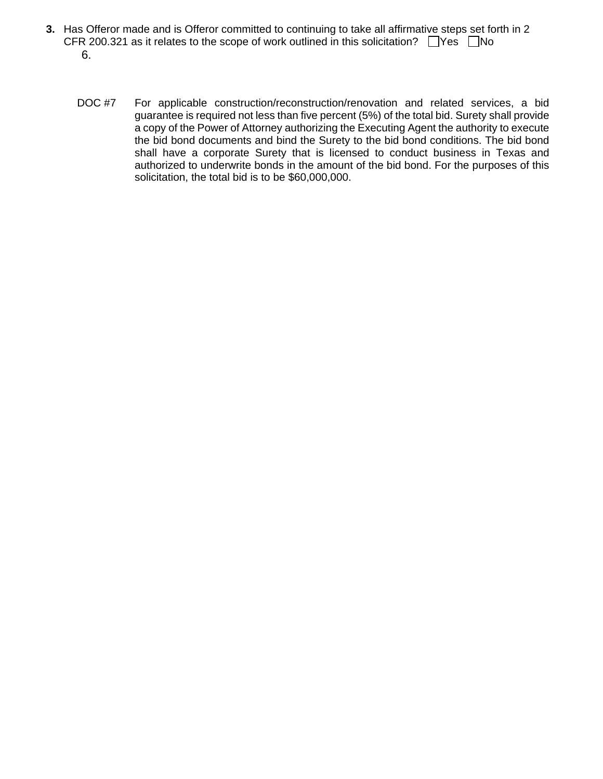- **3.** Has Offeror made and is Offeror committed to continuing to take all affirmative steps set forth in 2 CFR 200.321 as it relates to the scope of work outlined in this solicitation?  $\Box$ Yes  $\Box$ No 6.
	- DOC #7 For applicable construction/reconstruction/renovation and related services, a bid guarantee is required not less than five percent (5%) of the total bid. Surety shall provide a copy of the Power of Attorney authorizing the Executing Agent the authority to execute the bid bond documents and bind the Surety to the bid bond conditions. The bid bond shall have a corporate Surety that is licensed to conduct business in Texas and authorized to underwrite bonds in the amount of the bid bond. For the purposes of this solicitation, the total bid is to be \$60,000,000.